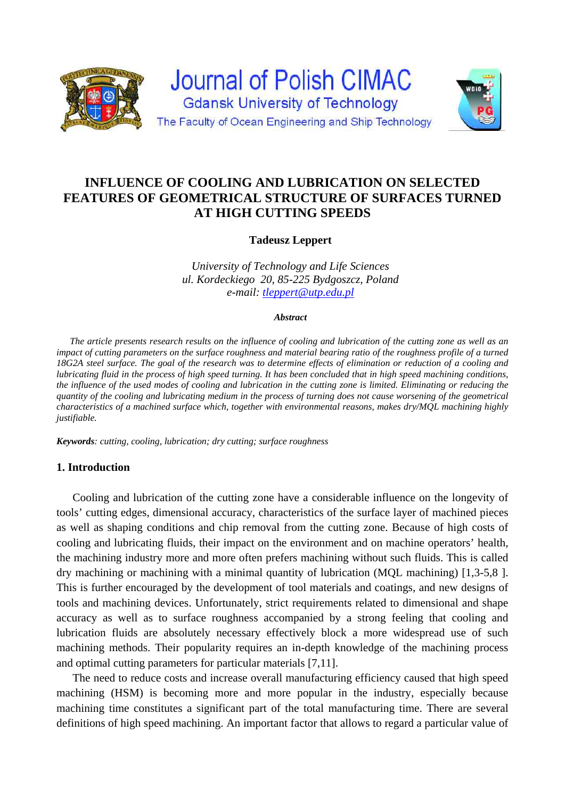

# **INFLUENCE OF COOLING AND LUBRICATION ON SELECTED FEATURES OF GEOMETRICAL STRUCTURE OF SURFACES TURNED AT HIGH CUTTING SPEEDS**

# **Tadeusz Leppert**

*University of Technology and Life Sciences ul. Kordeckiego 20, 85-225 Bydgoszcz, Poland e-mail: tleppert@utp.edu.pl*

#### *Abstract*

*The article presents research results on the influence of cooling and lubrication of the cutting zone as well as an impact of cutting parameters on the surface roughness and material bearing ratio of the roughness profile of a turned 18G2A steel surface. The goal of the research was to determine effects of elimination or reduction of a cooling and lubricating fluid in the process of high speed turning. It has been concluded that in high speed machining conditions, the influence of the used modes of cooling and lubrication in the cutting zone is limited. Eliminating or reducing the quantity of the cooling and lubricating medium in the process of turning does not cause worsening of the geometrical characteristics of a machined surface which, together with environmental reasons, makes dry/MQL machining highly justifiable.* 

*Keywords: cutting, cooling, lubrication; dry cutting; surface roughness* 

### **1. Introduction**

Cooling and lubrication of the cutting zone have a considerable influence on the longevity of tools' cutting edges, dimensional accuracy, characteristics of the surface layer of machined pieces as well as shaping conditions and chip removal from the cutting zone. Because of high costs of cooling and lubricating fluids, their impact on the environment and on machine operators' health, the machining industry more and more often prefers machining without such fluids. This is called dry machining or machining with a minimal quantity of lubrication (MQL machining) [1,3-5,8 ]. This is further encouraged by the development of tool materials and coatings, and new designs of tools and machining devices. Unfortunately, strict requirements related to dimensional and shape accuracy as well as to surface roughness accompanied by a strong feeling that cooling and lubrication fluids are absolutely necessary effectively block a more widespread use of such machining methods. Their popularity requires an in-depth knowledge of the machining process and optimal cutting parameters for particular materials [7,11].

The need to reduce costs and increase overall manufacturing efficiency caused that high speed machining (HSM) is becoming more and more popular in the industry, especially because machining time constitutes a significant part of the total manufacturing time. There are several definitions of high speed machining. An important factor that allows to regard a particular value of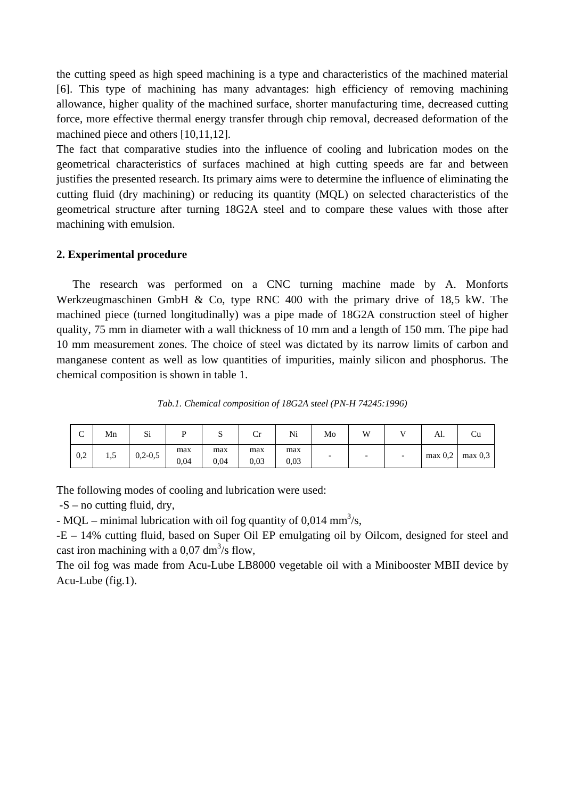the cutting speed as high speed machining is a type and characteristics of the machined material [6]. This type of machining has many advantages: high efficiency of removing machining allowance, higher quality of the machined surface, shorter manufacturing time, decreased cutting force, more effective thermal energy transfer through chip removal, decreased deformation of the machined piece and others [10,11,12].

The fact that comparative studies into the influence of cooling and lubrication modes on the geometrical characteristics of surfaces machined at high cutting speeds are far and between justifies the presented research. Its primary aims were to determine the influence of eliminating the cutting fluid (dry machining) or reducing its quantity (MQL) on selected characteristics of the geometrical structure after turning 18G2A steel and to compare these values with those after machining with emulsion.

## **2. Experimental procedure**

The research was performed on a CNC turning machine made by A. Monforts Werkzeugmaschinen GmbH & Co, type RNC 400 with the primary drive of 18.5 kW. The machined piece (turned longitudinally) was a pipe made of 18G2A construction steel of higher quality, 75 mm in diameter with a wall thickness of 10 mm and a length of 150 mm. The pipe had 10 mm measurement zones. The choice of steel was dictated by its narrow limits of carbon and manganese content as well as low quantities of impurities, mainly silicon and phosphorus. The chemical composition is shown in table 1.

*Tab.1. Chemical composition of 18G2A steel (PN-H 74245:1996)* 

| $\sqrt{2}$<br>◡ | Mn  | $\sim$<br>$\mathbf{S}1$ | D           | ມ           | ∪r          | Ni          | Mo | W                        | AI.        |            |
|-----------------|-----|-------------------------|-------------|-------------|-------------|-------------|----|--------------------------|------------|------------|
| 0,2             | 1,5 | $0,2-0,5$               | max<br>0,04 | max<br>0,04 | max<br>0,03 | max<br>0.03 |    | $\overline{\phantom{0}}$ | $max\ 0.2$ | $max\ 0.3$ |

The following modes of cooling and lubrication were used:

 $-S$  – no cutting fluid, dry,

- MQL – minimal lubrication with oil fog quantity of 0,014 mm<sup>3</sup>/s,

-E – 14% cutting fluid, based on Super Oil EP emulgating oil by Oilcom, designed for steel and cast iron machining with a 0,07 dm<sup>3</sup>/s flow,

The oil fog was made from Acu-Lube LB8000 vegetable oil with a Minibooster MBII device by Acu-Lube (fig.1).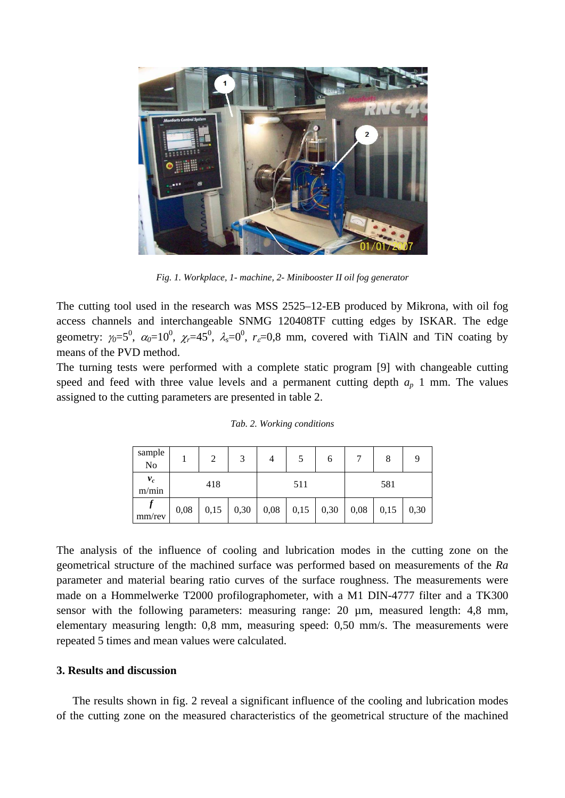

*Fig. 1. Workplace, 1- machine, 2- Minibooster II oil fog generator* 

The cutting tool used in the research was MSS 2525–12-EB produced by Mikrona, with oil fog access channels and interchangeable SNMG 120408TF cutting edges by ISKAR. The edge geometry:  $\gamma_0 = 5^0$ ,  $\alpha_0 = 10^0$ ,  $\chi_r = 45^0$ ,  $\lambda_s = 0^0$ ,  $r_s = 0.8$  mm, covered with TiAlN and TiN coating by means of the PVD method.

The turning tests were performed with a complete static program [9] with changeable cutting speed and feed with three value levels and a permanent cutting depth  $a_p$  1 mm. The values assigned to the cutting parameters are presented in table 2.

| sample<br>N <sub>o</sub> |      | 2    | 2    |      |      | 6    |      | 8    |      |
|--------------------------|------|------|------|------|------|------|------|------|------|
| $v_c$<br>m/min           | 418  |      |      |      | 511  |      | 581  |      |      |
| mm/rev                   | 0,08 | 0,15 | 0,30 | 0,08 | 0,15 | 0,30 | 0,08 | 0,15 | 0,30 |

*Tab. 2. Working conditions* 

The analysis of the influence of cooling and lubrication modes in the cutting zone on the geometrical structure of the machined surface was performed based on measurements of the *Ra* parameter and material bearing ratio curves of the surface roughness. The measurements were made on a Hommelwerke T2000 profilographometer, with a M1 DIN-4777 filter and a TK300 sensor with the following parameters: measuring range: 20 µm, measured length: 4,8 mm, elementary measuring length: 0,8 mm, measuring speed: 0,50 mm/s. The measurements were repeated 5 times and mean values were calculated.

### **3. Results and discussion**

The results shown in fig. 2 reveal a significant influence of the cooling and lubrication modes of the cutting zone on the measured characteristics of the geometrical structure of the machined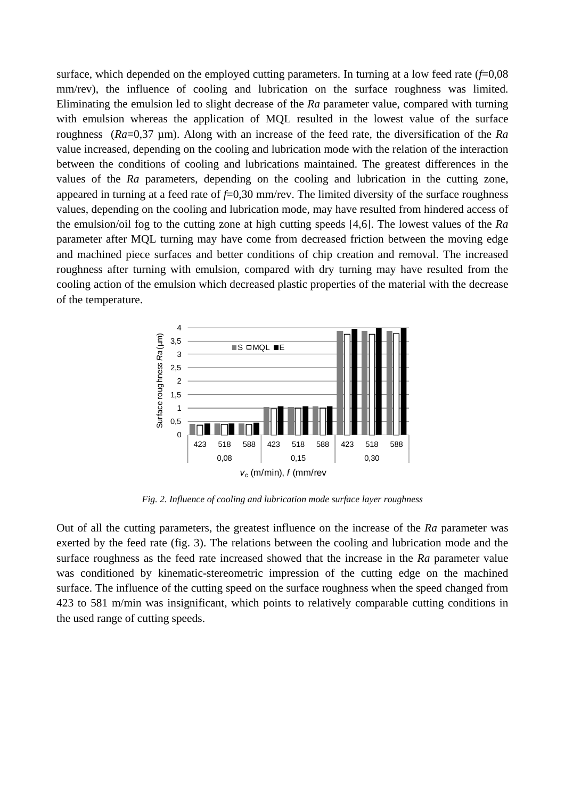surface, which depended on the employed cutting parameters. In turning at a low feed rate (*f*=0,08 mm/rev), the influence of cooling and lubrication on the surface roughness was limited. Eliminating the emulsion led to slight decrease of the *Ra* parameter value, compared with turning with emulsion whereas the application of MQL resulted in the lowest value of the surface roughness (*Ra*=0,37 µm). Along with an increase of the feed rate, the diversification of the *Ra* value increased, depending on the cooling and lubrication mode with the relation of the interaction between the conditions of cooling and lubrications maintained. The greatest differences in the values of the *Ra* parameters, depending on the cooling and lubrication in the cutting zone, appeared in turning at a feed rate of *f*=0,30 mm/rev. The limited diversity of the surface roughness values, depending on the cooling and lubrication mode, may have resulted from hindered access of the emulsion/oil fog to the cutting zone at high cutting speeds [4,6]. The lowest values of the *Ra* parameter after MQL turning may have come from decreased friction between the moving edge and machined piece surfaces and better conditions of chip creation and removal. The increased roughness after turning with emulsion, compared with dry turning may have resulted from the cooling action of the emulsion which decreased plastic properties of the material with the decrease of the temperature.



*Fig. 2. Influence of cooling and lubrication mode surface layer roughness* 

Out of all the cutting parameters, the greatest influence on the increase of the *Ra* parameter was exerted by the feed rate (fig. 3). The relations between the cooling and lubrication mode and the surface roughness as the feed rate increased showed that the increase in the *Ra* parameter value was conditioned by kinematic-stereometric impression of the cutting edge on the machined surface. The influence of the cutting speed on the surface roughness when the speed changed from 423 to 581 m/min was insignificant, which points to relatively comparable cutting conditions in the used range of cutting speeds.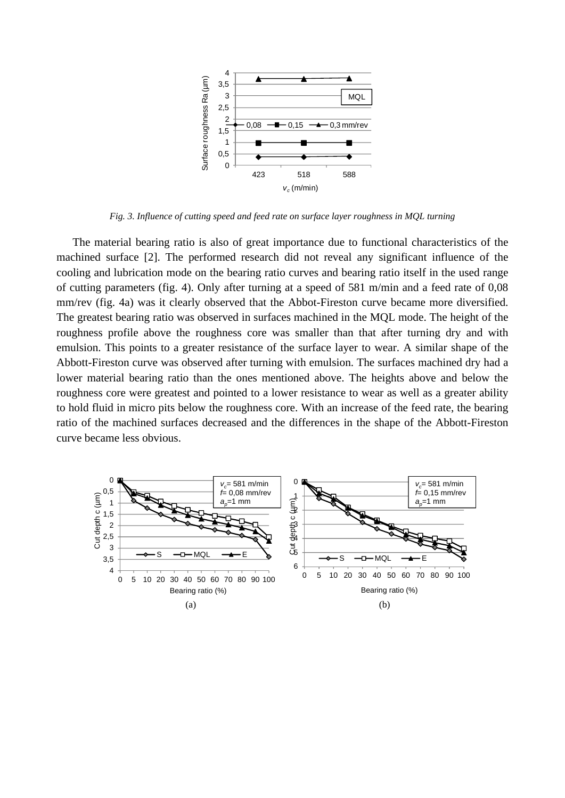

*Fig. 3. Influence of cutting speed and feed rate on surface layer roughness in MQL turning* 

The material bearing ratio is also of great importance due to functional characteristics of the machined surface [2]. The performed research did not reveal any significant influence of the cooling and lubrication mode on the bearing ratio curves and bearing ratio itself in the used range of cutting parameters (fig. 4). Only after turning at a speed of 581 m/min and a feed rate of 0,08 mm/rev (fig. 4a) was it clearly observed that the Abbot-Fireston curve became more diversified. The greatest bearing ratio was observed in surfaces machined in the MQL mode. The height of the roughness profile above the roughness core was smaller than that after turning dry and with emulsion. This points to a greater resistance of the surface layer to wear. A similar shape of the Abbott-Fireston curve was observed after turning with emulsion. The surfaces machined dry had a lower material bearing ratio than the ones mentioned above. The heights above and below the roughness core were greatest and pointed to a lower resistance to wear as well as a greater ability to hold fluid in micro pits below the roughness core. With an increase of the feed rate, the bearing ratio of the machined surfaces decreased and the differences in the shape of the Abbott-Fireston curve became less obvious.

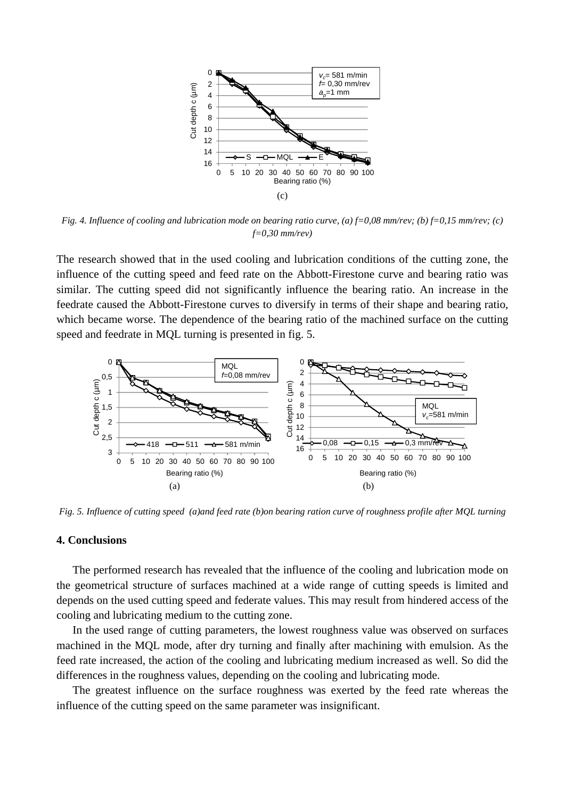

*Fig. 4. Influence of cooling and lubrication mode on bearing ratio curve, (a) f=0,08 mm/rev; (b) f=0,15 mm/rev; (c) f=0,30 mm/rev)* 

The research showed that in the used cooling and lubrication conditions of the cutting zone, the influence of the cutting speed and feed rate on the Abbott-Firestone curve and bearing ratio was similar. The cutting speed did not significantly influence the bearing ratio. An increase in the feedrate caused the Abbott-Firestone curves to diversify in terms of their shape and bearing ratio, which became worse. The dependence of the bearing ratio of the machined surface on the cutting speed and feedrate in MQL turning is presented in fig. 5.



*Fig. 5. Influence of cutting speed (a)and feed rate (b)on bearing ration curve of roughness profile after MQL turning* 

#### **4. Conclusions**

The performed research has revealed that the influence of the cooling and lubrication mode on the geometrical structure of surfaces machined at a wide range of cutting speeds is limited and depends on the used cutting speed and federate values. This may result from hindered access of the cooling and lubricating medium to the cutting zone.

In the used range of cutting parameters, the lowest roughness value was observed on surfaces machined in the MQL mode, after dry turning and finally after machining with emulsion. As the feed rate increased, the action of the cooling and lubricating medium increased as well. So did the differences in the roughness values, depending on the cooling and lubricating mode.

The greatest influence on the surface roughness was exerted by the feed rate whereas the influence of the cutting speed on the same parameter was insignificant.